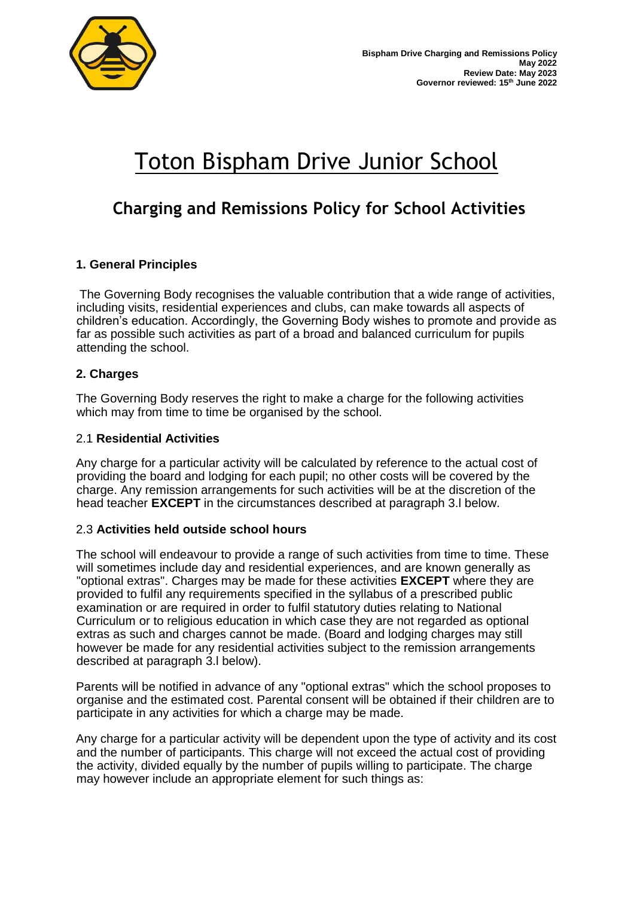

# Toton Bispham Drive Junior School

# **Charging and Remissions Policy for School Activities**

# **1. General Principles**

The Governing Body recognises the valuable contribution that a wide range of activities, including visits, residential experiences and clubs, can make towards all aspects of children's education. Accordingly, the Governing Body wishes to promote and provide as far as possible such activities as part of a broad and balanced curriculum for pupils attending the school.

# **2. Charges**

The Governing Body reserves the right to make a charge for the following activities which may from time to time be organised by the school.

#### 2.1 **Residential Activities**

Any charge for a particular activity will be calculated by reference to the actual cost of providing the board and lodging for each pupil; no other costs will be covered by the charge. Any remission arrangements for such activities will be at the discretion of the head teacher **EXCEPT** in the circumstances described at paragraph 3.l below.

#### 2.3 **Activities held outside school hours**

The school will endeavour to provide a range of such activities from time to time. These will sometimes include day and residential experiences, and are known generally as "optional extras". Charges may be made for these activities **EXCEPT** where they are provided to fulfil any requirements specified in the syllabus of a prescribed public examination or are required in order to fulfil statutory duties relating to National Curriculum or to religious education in which case they are not regarded as optional extras as such and charges cannot be made. (Board and lodging charges may still however be made for any residential activities subject to the remission arrangements described at paragraph 3.l below).

Parents will be notified in advance of any "optional extras" which the school proposes to organise and the estimated cost. Parental consent will be obtained if their children are to participate in any activities for which a charge may be made.

Any charge for a particular activity will be dependent upon the type of activity and its cost and the number of participants. This charge will not exceed the actual cost of providing the activity, divided equally by the number of pupils willing to participate. The charge may however include an appropriate element for such things as: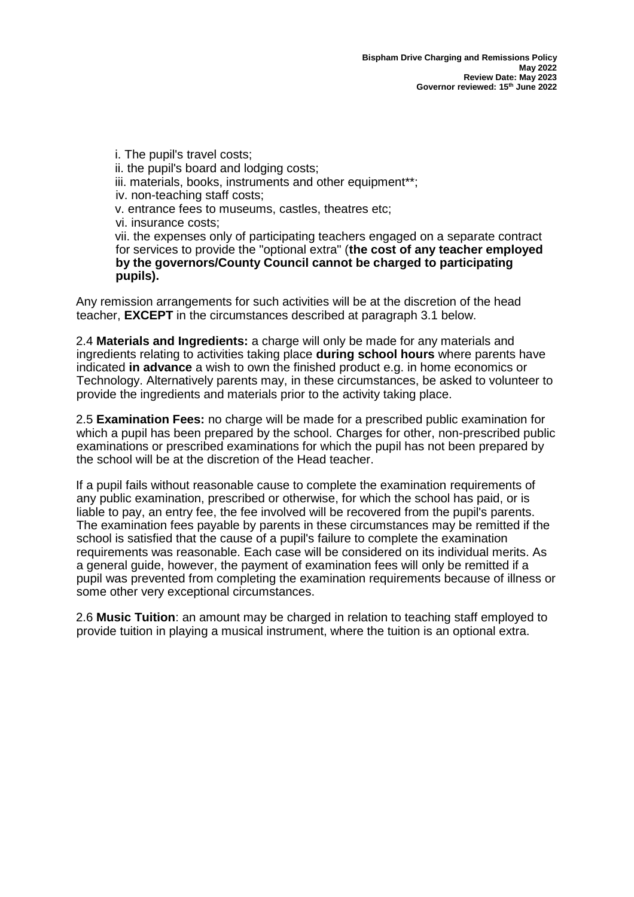i. The pupil's travel costs; ii. the pupil's board and lodging costs; iii. materials, books, instruments and other equipment<sup>\*\*</sup>; iv. non-teaching staff costs; v. entrance fees to museums, castles, theatres etc; vi. insurance costs; vii. the expenses only of participating teachers engaged on a separate contract for services to provide the "optional extra" (**the cost of any teacher employed by the governors/County Council cannot be charged to participating pupils).** 

Any remission arrangements for such activities will be at the discretion of the head teacher, **EXCEPT** in the circumstances described at paragraph 3.1 below.

2.4 **Materials and Ingredients:** a charge will only be made for any materials and ingredients relating to activities taking place **during school hours** where parents have indicated **in advance** a wish to own the finished product e.g. in home economics or Technology. Alternatively parents may, in these circumstances, be asked to volunteer to provide the ingredients and materials prior to the activity taking place.

2.5 **Examination Fees:** no charge will be made for a prescribed public examination for which a pupil has been prepared by the school. Charges for other, non-prescribed public examinations or prescribed examinations for which the pupil has not been prepared by the school will be at the discretion of the Head teacher.

If a pupil fails without reasonable cause to complete the examination requirements of any public examination, prescribed or otherwise, for which the school has paid, or is liable to pay, an entry fee, the fee involved will be recovered from the pupil's parents. The examination fees payable by parents in these circumstances may be remitted if the school is satisfied that the cause of a pupil's failure to complete the examination requirements was reasonable. Each case will be considered on its individual merits. As a general guide, however, the payment of examination fees will only be remitted if a pupil was prevented from completing the examination requirements because of illness or some other very exceptional circumstances.

2.6 **Music Tuition**: an amount may be charged in relation to teaching staff employed to provide tuition in playing a musical instrument, where the tuition is an optional extra.